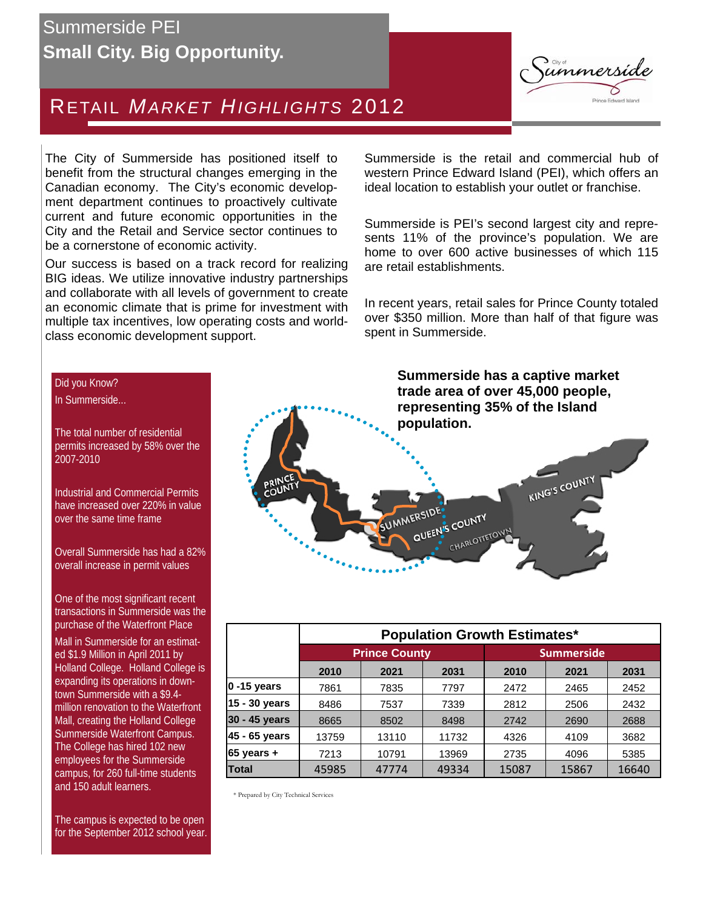# Summerside PEI **Small City. Big Opportunity.**



# RETAIL *MARKET HIGHLIGHTS* 2012

The City of Summerside has positioned itself to benefit from the structural changes emerging in the Canadian economy. The City's economic development department continues to proactively cultivate current and future economic opportunities in the City and the Retail and Service sector continues to be a cornerstone of economic activity.

Our success is based on a track record for realizing BIG ideas. We utilize innovative industry partnerships and collaborate with all levels of government to create an economic climate that is prime for investment with multiple tax incentives, low operating costs and worldclass economic development support.

Summerside is the retail and commercial hub of western Prince Edward Island (PEI), which offers an ideal location to establish your outlet or franchise.

Summerside is PEI's second largest city and represents 11% of the province's population. We are home to over 600 active businesses of which 115 are retail establishments.

In recent years, retail sales for Prince County totaled over \$350 million. More than half of that figure was spent in Summerside.

Did you Know? In Summerside...

The total number of residential permits increased by 58% over the 2007-2010

Industrial and Commercial Permits have increased over 220% in value over the same time frame

Overall Summerside has had a 82% overall increase in permit values

One of the most significant recent transactions in Summerside was the purchase of the Waterfront Place Mall in Summerside for an estimated \$1.9 Million in April 2011 by Holland College. Holland College is expanding its operations in downtown Summerside with a \$9.4 million renovation to the Waterfront Mall, creating the Holland College Summerside Waterfront Campus. The College has hired 102 new employees for the Summerside campus, for 260 full-time students and 150 adult learners.

The campus is expected to be open for the September 2012 school year.

**Summerside has a captive market trade area of over 45,000 people, representing 35% of the Island population.** 



|                | <b>Population Growth Estimates*</b> |       |       |                      |       |       |
|----------------|-------------------------------------|-------|-------|----------------------|-------|-------|
|                | <b>Prince County</b>                |       |       | <b>Summerside</b>    |       |       |
|                | 2010                                | 2021  | 2031  | 2010<br>2031<br>2021 |       |       |
| $0 - 15$ years | 7861                                | 7835  | 7797  | 2472                 | 2465  | 2452  |
| 15 - 30 years  | 8486                                | 7537  | 7339  | 2812                 | 2506  | 2432  |
| 30 - 45 years  | 8665                                | 8502  | 8498  | 2742                 | 2690  | 2688  |
| 45 - 65 years  | 13759                               | 13110 | 11732 | 4326                 | 4109  | 3682  |
| $65$ years +   | 7213                                | 10791 | 13969 | 2735                 | 4096  | 5385  |
| <b>Total</b>   | 45985                               | 47774 | 49334 | 15087                | 15867 | 16640 |

\* Prepared by City Technical Services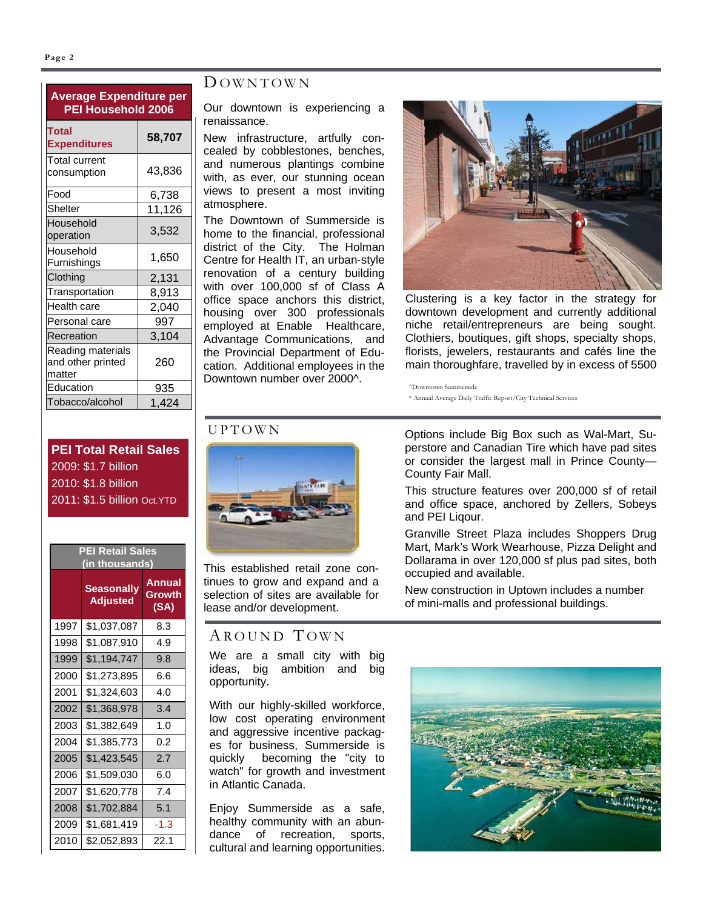#### **Page 2**

## **Average Expenditure per PEI Household 2006 Total Expenditures 58,707**  Total current

| ו טנפו טעוופות<br>consumption                    | 43,836 |
|--------------------------------------------------|--------|
| Food                                             | 6,738  |
| Shelter                                          | 11,126 |
| Household<br>operation                           | 3,532  |
| Household<br>Furnishings                         | 1,650  |
| Clothing                                         | 2,131  |
| Transportation                                   | 8,913  |
| Health care                                      | 2,040  |
| Personal care                                    | 997    |
| Recreation                                       | 3,104  |
| Reading materials<br>and other printed<br>matter | 260    |
| Education                                        | 935    |
| Tobacco/alcohol                                  | 1.424  |

#### D OWNTOWN

Our downtown is experiencing a renaissance.

New infrastructure, artfully concealed by cobblestones, benches, and numerous plantings combine with, as ever, our stunning ocean views to present a most inviting atmosphere.

The Downtown of Summerside is home to the financial, professional district of the City. The Holman Centre for Health IT, an urban-style renovation of a century building with over 100,000 sf of Class A office space anchors this district, housing over 300 professionals employed at Enable Healthcare, Advantage Communications, and the Provincial Department of Education. Additional employees in the Downtown number over 2000^.



Clustering is a key factor in the strategy for downtown development and currently additional niche retail/entrepreneurs are being sought. Clothiers, boutiques, gift shops, specialty shops, florists, jewelers, restaurants and cafés line the main thoroughfare, travelled by in excess of 5500

^Downtown Summerside \* Annual Average Daily Traffic Report/City Technical Services

### **PEI Total Retail Sales**  2009: \$1.7 billion 2010: \$1.8 billion 2011: \$1.5 billion Oct.YTD

| <b>PEI Retail Sales</b><br>(in thousands) |                                      |                          |  |
|-------------------------------------------|--------------------------------------|--------------------------|--|
|                                           | <b>Seasonally</b><br><b>Adjusted</b> | Annual<br>Growth<br>(SA) |  |
| 1997                                      | \$1,037,087                          | 8.3                      |  |
| 1998                                      | \$1,087,910                          | 4.9                      |  |
| 1999                                      | \$1,194,747                          | 9.8                      |  |
| 2000                                      | \$1,273,895                          | 6.6                      |  |
| 2001                                      | \$1,324,603                          | 4.0                      |  |
| 2002                                      | \$1,368,978                          | 3.4                      |  |
| 2003                                      | \$1,382,649                          | 1.0                      |  |
| 2004                                      | \$1,385,773                          | 0.2                      |  |
| 2005                                      | \$1,423,545                          | 2.7                      |  |
| 2006                                      | \$1,509,030                          | 6.0                      |  |
| 2007                                      | \$1,620,778                          | 7.4                      |  |
| 2008                                      | \$1,702,884                          | 5.1                      |  |
| 2009                                      | \$1,681,419                          | -1.3                     |  |
| 2010                                      | \$2,052,893                          | 22.1                     |  |

## UPTOWN



This established retail zone continues to grow and expand and a selection of sites are available for lease and/or development.

## AROUND TOWN

We are a small city with big ideas, big ambition and big opportunity.

With our highly-skilled workforce, low cost operating environment and aggressive incentive packages for business, Summerside is quickly becoming the "city to watch" for growth and investment in Atlantic Canada.

Enjoy Summerside as a safe, healthy community with an abundance of recreation, sports, cultural and learning opportunities.

Options include Big Box such as Wal-Mart, Superstore and Canadian Tire which have pad sites or consider the largest mall in Prince County— County Fair Mall.

This structure features over 200,000 sf of retail and office space, anchored by Zellers, Sobeys and PEI Liqour.

Granville Street Plaza includes Shoppers Drug Mart, Mark's Work Wearhouse, Pizza Delight and Dollarama in over 120,000 sf plus pad sites, both occupied and available.

New construction in Uptown includes a number of mini-malls and professional buildings.

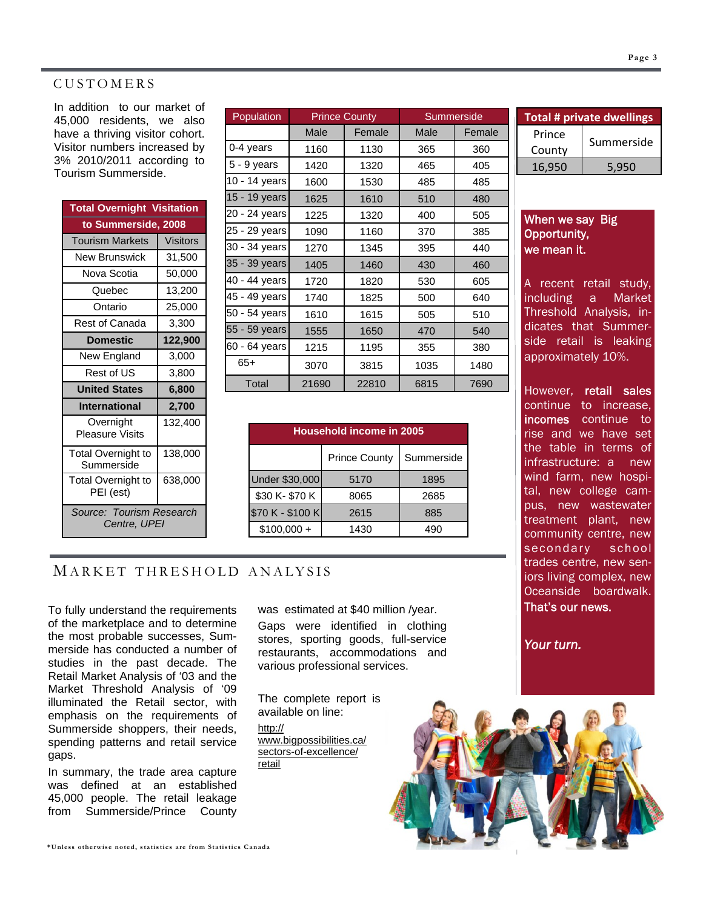#### CUSTOMERS

In addition to our market of 45,000 residents, we also have a thriving visitor cohort. Visitor numbers increased by 3% 2010/2011 according to Tourism Summerside.

| <b>Total Overnight Visitation</b>        |                 |  |  |  |
|------------------------------------------|-----------------|--|--|--|
| to Summerside, 2008                      |                 |  |  |  |
| <b>Tourism Markets</b>                   | <b>Visitors</b> |  |  |  |
| New Brunswick                            | 31,500          |  |  |  |
| Nova Scotia                              | 50,000          |  |  |  |
| Quebec                                   | 13,200          |  |  |  |
| Ontario                                  | 25,000          |  |  |  |
| Rest of Canada                           | 3,300           |  |  |  |
| <b>Domestic</b>                          | 122,900         |  |  |  |
| New England                              | 3,000           |  |  |  |
| Rest of US                               | 3,800           |  |  |  |
| <b>United States</b>                     | 6,800           |  |  |  |
| International                            | 2,700           |  |  |  |
| Overnight<br><b>Pleasure Visits</b>      | 132,400         |  |  |  |
| <b>Total Overnight to</b><br>Summerside  | 138,000         |  |  |  |
| Total Overnight to<br>PEI (est)          | 638,000         |  |  |  |
| Source: Tourism Research<br>Centre, UPEI |                 |  |  |  |

| Population    | <b>Prince County</b> |        |      | Summerside |  |
|---------------|----------------------|--------|------|------------|--|
|               | Male                 | Female | Male | Female     |  |
| 0-4 years     | 1160                 | 1130   | 365  | 360        |  |
| 5 - 9 years   | 1420                 | 1320   | 465  | 405        |  |
| 10 - 14 years | 1600                 | 1530   | 485  | 485        |  |
| 15 - 19 years | 1625                 | 1610   | 510  | 480        |  |
| 20 - 24 years | 1225                 | 1320   | 400  | 505        |  |
| 25 - 29 years | 1090                 | 1160   | 370  | 385        |  |
| 30 - 34 years | 1270                 | 1345   | 395  | 440        |  |
| 35 - 39 years | 1405                 | 1460   | 430  | 460        |  |
| 40 - 44 years | 1720                 | 1820   | 530  | 605        |  |
| 45 - 49 years | 1740                 | 1825   | 500  | 640        |  |
| 50 - 54 years | 1610                 | 1615   | 505  | 510        |  |
| 55 - 59 years | 1555                 | 1650   | 470  | 540        |  |
| 60 - 64 years | 1215                 | 1195   | 355  | 380        |  |
| $65+$         | 3070                 | 3815   | 1035 | 1480       |  |
| Total         | 21690                | 22810  | 6815 | 7690       |  |

| Household income in 2005           |      |      |  |  |
|------------------------------------|------|------|--|--|
| Summerside<br><b>Prince County</b> |      |      |  |  |
| Under \$30,000                     | 5170 | 1895 |  |  |
| \$30 K- \$70 K                     | 8065 | 2685 |  |  |
| \$70 K - \$100 K                   | 2615 | 885  |  |  |
| $$100,000 +$                       | 1430 | 490  |  |  |

#### M ARKET THRESHOLD ANALYSIS

To fully understand the requirements of the marketplace and to determine the most probable successes, Summerside has conducted a number of studies in the past decade. The Retail Market Analysis of '03 and the Market Threshold Analysis of '09 illuminated the Retail sector, with emphasis on the requirements of Summerside shoppers, their needs, spending patterns and retail service gaps.

In summary, the trade area capture was defined at an established 45,000 people. The retail leakage from Summerside/Prince County was estimated at \$40 million /year.

Gaps were identified in clothing stores, sporting goods, full-service restaurants, accommodations and various professional services.

The complete report is available on line: http:// www.bigpossibilities.ca/

sectors-of-excellence/ retail

| <b>Total # private dwellings</b> |            |  |  |
|----------------------------------|------------|--|--|
| Prince                           | Summerside |  |  |
| County                           |            |  |  |
| 16,950                           | 5.950      |  |  |

#### When we say Big Opportunity, we mean it.

A recent retail study, including a Market Threshold Analysis, indicates that Summerside retail is leaking approximately 10%.

However, retail sales continue to increase, incomes continue to rise and we have set the table in terms of infrastructure: a new wind farm, new hospital, new college campus, new wastewater treatment plant, new community centre, new secondary school trades centre, new seniors living complex, new Oceanside boardwalk. That's our news.

*Your turn.*